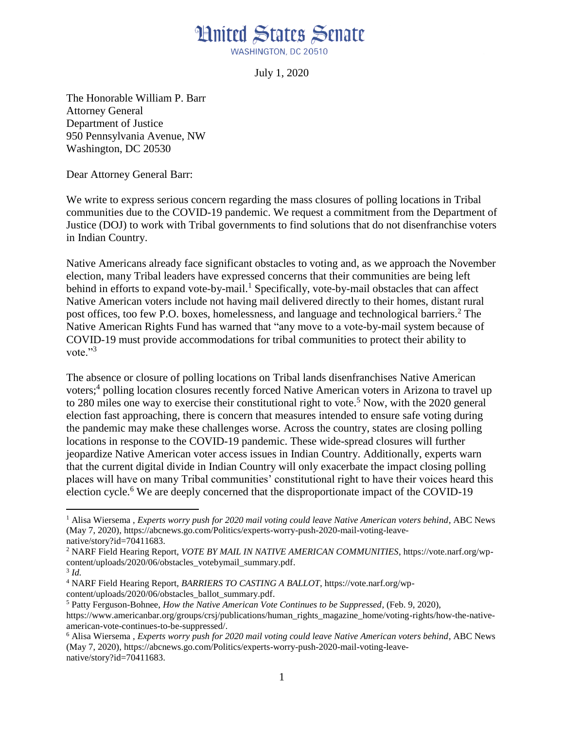## **Hnited States Senate WASHINGTON, DC 20510**

July 1, 2020

The Honorable William P. Barr Attorney General Department of Justice 950 Pennsylvania Avenue, NW Washington, DC 20530

Dear Attorney General Barr:

We write to express serious concern regarding the mass closures of polling locations in Tribal communities due to the COVID-19 pandemic. We request a commitment from the Department of Justice (DOJ) to work with Tribal governments to find solutions that do not disenfranchise voters in Indian Country.

Native Americans already face significant obstacles to voting and, as we approach the November election, many Tribal leaders have expressed concerns that their communities are being left behind in efforts to expand vote-by-mail.<sup>1</sup> Specifically, vote-by-mail obstacles that can affect Native American voters include not having mail delivered directly to their homes, distant rural post offices, too few P.O. boxes, homelessness, and language and technological barriers.<sup>2</sup> The Native American Rights Fund has warned that "any move to a vote-by-mail system because of COVID-19 must provide accommodations for tribal communities to protect their ability to vote."<sup>3</sup>

The absence or closure of polling locations on Tribal lands disenfranchises Native American voters; 4 polling location closures recently forced Native American voters in Arizona to travel up to 280 miles one way to exercise their constitutional right to vote.<sup>5</sup> Now, with the 2020 general election fast approaching, there is concern that measures intended to ensure safe voting during the pandemic may make these challenges worse. Across the country, states are closing polling locations in response to the COVID-19 pandemic. These wide-spread closures will further jeopardize Native American voter access issues in Indian Country. Additionally, experts warn that the current digital divide in Indian Country will only exacerbate the impact closing polling places will have on many Tribal communities' constitutional right to have their voices heard this election cycle.<sup>6</sup> We are deeply concerned that the disproportionate impact of the COVID-19

 $\overline{a}$ 

<sup>1</sup> Alisa Wiersema , *Experts worry push for 2020 mail voting could leave Native American voters behind*, ABC News (May 7, 2020), https://abcnews.go.com/Politics/experts-worry-push-2020-mail-voting-leavenative/story?id=70411683.

<sup>2</sup> NARF Field Hearing Report, *VOTE BY MAIL IN NATIVE AMERICAN COMMUNITIES*, https://vote.narf.org/wpcontent/uploads/2020/06/obstacles\_votebymail\_summary.pdf.

<sup>3</sup> *Id.*

<sup>4</sup> NARF Field Hearing Report, *BARRIERS TO CASTING A BALLOT*, https://vote.narf.org/wpcontent/uploads/2020/06/obstacles\_ballot\_summary.pdf.

<sup>5</sup> Patty Ferguson-Bohnee, *How the Native American Vote Continues to be Suppressed*, (Feb. 9, 2020), https://www.americanbar.org/groups/crsj/publications/human\_rights\_magazine\_home/voting-rights/how-the-nativeamerican-vote-continues-to-be-suppressed/.

<sup>6</sup> Alisa Wiersema , *Experts worry push for 2020 mail voting could leave Native American voters behind*, ABC News (May 7, 2020), https://abcnews.go.com/Politics/experts-worry-push-2020-mail-voting-leavenative/story?id=70411683.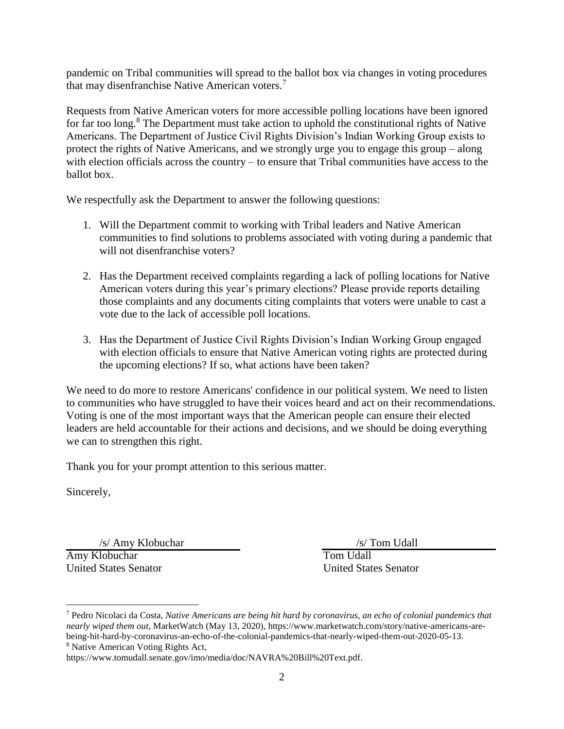pandemic on Tribal communities will spread to the ballot box via changes in voting procedures that may disenfranchise Native American voters.<sup>7</sup>

Requests from Native American voters for more accessible polling locations have been ignored for far too long.<sup>8</sup> The Department must take action to uphold the constitutional rights of Native Americans. The Department of Justice Civil Rights Division's Indian Working Group exists to protect the rights of Native Americans, and we strongly urge you to engage this group – along with election officials across the country – to ensure that Tribal communities have access to the ballot box.

We respectfully ask the Department to answer the following questions:

- 1. Will the Department commit to working with Tribal leaders and Native American communities to find solutions to problems associated with voting during a pandemic that will not disenfranchise voters?
- 2. Has the Department received complaints regarding a lack of polling locations for Native American voters during this year's primary elections? Please provide reports detailing those complaints and any documents citing complaints that voters were unable to cast a vote due to the lack of accessible poll locations.
- 3. Has the Department of Justice Civil Rights Division's Indian Working Group engaged with election officials to ensure that Native American voting rights are protected during the upcoming elections? If so, what actions have been taken?

We need to do more to restore Americans' confidence in our political system. We need to listen to communities who have struggled to have their voices heard and act on their recommendations. Voting is one of the most important ways that the American people can ensure their elected leaders are held accountable for their actions and decisions, and we should be doing everything we can to strengthen this right.

Thank you for your prompt attention to this serious matter.

Sincerely,

 $\overline{a}$ 

/s/ Amy Klobuchar /s/ Tom Udall Amy Klobuchar<br>
United States Senator<br>
United States Senator<br>
United States Senator United States Senator United States Senator

<sup>7</sup> Pedro Nicolaci da Costa*, Native Americans are being hit hard by coronavirus, an echo of colonial pandemics that nearly wiped them out*, MarketWatch (May 13, 2020), https://www.marketwatch.com/story/native-americans-arebeing-hit-hard-by-coronavirus-an-echo-of-the-colonial-pandemics-that-nearly-wiped-them-out-2020-05-13. <sup>8</sup> Native American Voting Rights Act,

https://www.tomudall.senate.gov/imo/media/doc/NAVRA%20Bill%20Text.pdf.